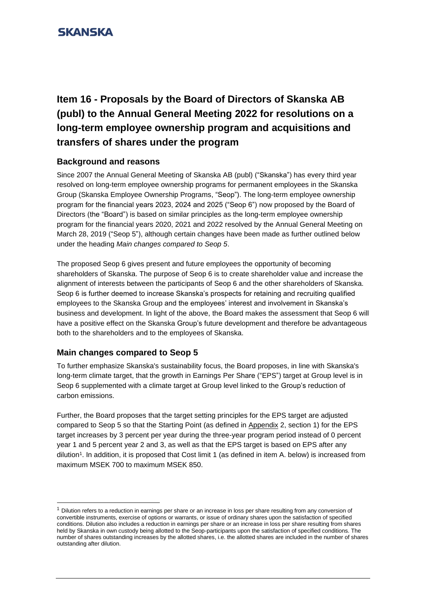

# **Item 16 - Proposals by the Board of Directors of Skanska AB (publ) to the Annual General Meeting 2022 for resolutions on a long-term employee ownership program and acquisitions and transfers of shares under the program**

### **Background and reasons**

Since 2007 the Annual General Meeting of Skanska AB (publ) ("Skanska") has every third year resolved on long-term employee ownership programs for permanent employees in the Skanska Group (Skanska Employee Ownership Programs, "Seop"). The long-term employee ownership program for the financial years 2023, 2024 and 2025 ("Seop 6") now proposed by the Board of Directors (the "Board") is based on similar principles as the long-term employee ownership program for the financial years 2020, 2021 and 2022 resolved by the Annual General Meeting on March 28, 2019 ("Seop 5"), although certain changes have been made as further outlined below under the heading *Main changes compared to Seop 5*.

The proposed Seop 6 gives present and future employees the opportunity of becoming shareholders of Skanska. The purpose of Seop 6 is to create shareholder value and increase the alignment of interests between the participants of Seop 6 and the other shareholders of Skanska. Seop 6 is further deemed to increase Skanska's prospects for retaining and recruiting qualified employees to the Skanska Group and the employees' interest and involvement in Skanska's business and development. In light of the above, the Board makes the assessment that Seop 6 will have a positive effect on the Skanska Group's future development and therefore be advantageous both to the shareholders and to the employees of Skanska.

### **Main changes compared to Seop 5**

To further emphasize Skanska's sustainability focus, the Board proposes, in line with Skanska's long-term climate target, that the growth in Earnings Per Share ("EPS") target at Group level is in Seop 6 supplemented with a climate target at Group level linked to the Group's reduction of carbon emissions.

Further, the Board proposes that the target setting principles for the EPS target are adjusted compared to Seop 5 so that the Starting Point (as defined in Appendix 2, section 1) for the EPS target increases by 3 percent per year during the three-year program period instead of 0 percent year 1 and 5 percent year 2 and 3, as well as that the EPS target is based on EPS after any dilution<sup>1</sup> . In addition, it is proposed that Cost limit 1 (as defined in item A. below) is increased from maximum MSEK 700 to maximum MSEK 850.

 $1$  Dilution refers to a reduction in earnings per share or an increase in loss per share resulting from any conversion of convertible instruments, exercise of options or warrants, or issue of ordinary shares upon the satisfaction of specified conditions. Dilution also includes a reduction in earnings per share or an increase in loss per share resulting from shares held by Skanska in own custody being allotted to the Seop-participants upon the satisfaction of specified conditions. The number of shares outstanding increases by the allotted shares, i.e. the allotted shares are included in the number of shares outstanding after dilution.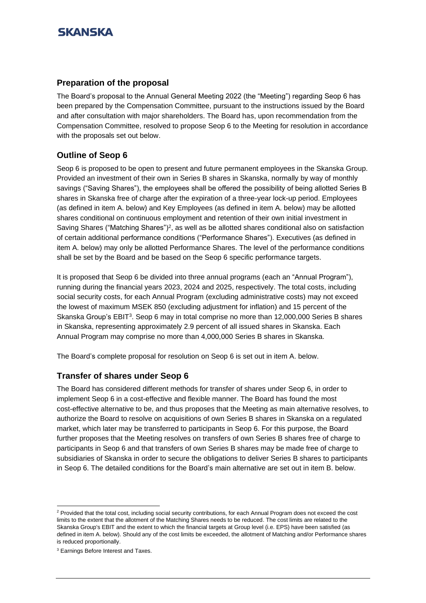#### **Preparation of the proposal**

The Board's proposal to the Annual General Meeting 2022 (the "Meeting") regarding Seop 6 has been prepared by the Compensation Committee, pursuant to the instructions issued by the Board and after consultation with major shareholders. The Board has, upon recommendation from the Compensation Committee, resolved to propose Seop 6 to the Meeting for resolution in accordance with the proposals set out below.

### **Outline of Seop 6**

Seop 6 is proposed to be open to present and future permanent employees in the Skanska Group. Provided an investment of their own in Series B shares in Skanska, normally by way of monthly savings ("Saving Shares"), the employees shall be offered the possibility of being allotted Series B shares in Skanska free of charge after the expiration of a three-year lock-up period. Employees (as defined in item A. below) and Key Employees (as defined in item A. below) may be allotted shares conditional on continuous employment and retention of their own initial investment in Saving Shares ("Matching Shares")<sup>2</sup>, as well as be allotted shares conditional also on satisfaction of certain additional performance conditions ("Performance Shares"). Executives (as defined in item A. below) may only be allotted Performance Shares. The level of the performance conditions shall be set by the Board and be based on the Seop 6 specific performance targets.

It is proposed that Seop 6 be divided into three annual programs (each an "Annual Program"), running during the financial years 2023, 2024 and 2025, respectively. The total costs, including social security costs, for each Annual Program (excluding administrative costs) may not exceed the lowest of maximum MSEK 850 (excluding adjustment for inflation) and 15 percent of the Skanska Group's EBIT<sup>3</sup>. Seop 6 may in total comprise no more than 12,000,000 Series B shares in Skanska, representing approximately 2.9 percent of all issued shares in Skanska. Each Annual Program may comprise no more than 4,000,000 Series B shares in Skanska.

The Board's complete proposal for resolution on Seop 6 is set out in item A. below.

### **Transfer of shares under Seop 6**

The Board has considered different methods for transfer of shares under Seop 6, in order to implement Seop 6 in a cost-effective and flexible manner. The Board has found the most cost-effective alternative to be, and thus proposes that the Meeting as main alternative resolves, to authorize the Board to resolve on acquisitions of own Series B shares in Skanska on a regulated market, which later may be transferred to participants in Seop 6. For this purpose, the Board further proposes that the Meeting resolves on transfers of own Series B shares free of charge to participants in Seop 6 and that transfers of own Series B shares may be made free of charge to subsidiaries of Skanska in order to secure the obligations to deliver Series B shares to participants in Seop 6. The detailed conditions for the Board's main alternative are set out in item B. below.

<sup>&</sup>lt;sup>2</sup> Provided that the total cost, including social security contributions, for each Annual Program does not exceed the cost limits to the extent that the allotment of the Matching Shares needs to be reduced. The cost limits are related to the Skanska Group's EBIT and the extent to which the financial targets at Group level (i.e. EPS) have been satisfied (as defined in item A. below). Should any of the cost limits be exceeded, the allotment of Matching and/or Performance shares is reduced proportionally.

<sup>3</sup> Earnings Before Interest and Taxes.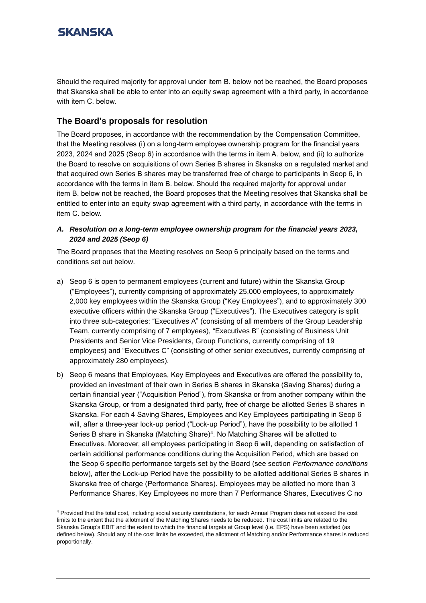Should the required majority for approval under item B. below not be reached, the Board proposes that Skanska shall be able to enter into an equity swap agreement with a third party, in accordance with item C. below.

### **The Board's proposals for resolution**

The Board proposes, in accordance with the recommendation by the Compensation Committee, that the Meeting resolves (i) on a long-term employee ownership program for the financial years 2023, 2024 and 2025 (Seop 6) in accordance with the terms in item A. below, and (ii) to authorize the Board to resolve on acquisitions of own Series B shares in Skanska on a regulated market and that acquired own Series B shares may be transferred free of charge to participants in Seop 6, in accordance with the terms in item B. below. Should the required majority for approval under item B. below not be reached, the Board proposes that the Meeting resolves that Skanska shall be entitled to enter into an equity swap agreement with a third party, in accordance with the terms in item C. below.

*A. Resolution on a long-term employee ownership program for the financial years 2023, 2024 and 2025 (Seop 6)*

The Board proposes that the Meeting resolves on Seop 6 principally based on the terms and conditions set out below.

- a) Seop 6 is open to permanent employees (current and future) within the Skanska Group ("Employees"), currently comprising of approximately 25,000 employees, to approximately 2,000 key employees within the Skanska Group ("Key Employees"), and to approximately 300 executive officers within the Skanska Group ("Executives"). The Executives category is split into three sub-categories: "Executives A" (consisting of all members of the Group Leadership Team, currently comprising of 7 employees), "Executives B" (consisting of Business Unit Presidents and Senior Vice Presidents, Group Functions, currently comprising of 19 employees) and "Executives C" (consisting of other senior executives, currently comprising of approximately 280 employees).
- b) Seop 6 means that Employees, Key Employees and Executives are offered the possibility to, provided an investment of their own in Series B shares in Skanska (Saving Shares) during a certain financial year ("Acquisition Period"), from Skanska or from another company within the Skanska Group, or from a designated third party, free of charge be allotted Series B shares in Skanska. For each 4 Saving Shares, Employees and Key Employees participating in Seop 6 will, after a three-year lock-up period ("Lock-up Period"), have the possibility to be allotted 1 Series B share in Skanska (Matching Share)<sup>4</sup> . No Matching Shares will be allotted to Executives. Moreover, all employees participating in Seop 6 will, depending on satisfaction of certain additional performance conditions during the Acquisition Period, which are based on the Seop 6 specific performance targets set by the Board (see section *Performance conditions*  below), after the Lock-up Period have the possibility to be allotted additional Series B shares in Skanska free of charge (Performance Shares). Employees may be allotted no more than 3 Performance Shares, Key Employees no more than 7 Performance Shares, Executives C no

<sup>4</sup> Provided that the total cost, including social security contributions, for each Annual Program does not exceed the cost limits to the extent that the allotment of the Matching Shares needs to be reduced. The cost limits are related to the Skanska Group's EBIT and the extent to which the financial targets at Group level (i.e. EPS) have been satisfied (as defined below). Should any of the cost limits be exceeded, the allotment of Matching and/or Performance shares is reduced proportionally.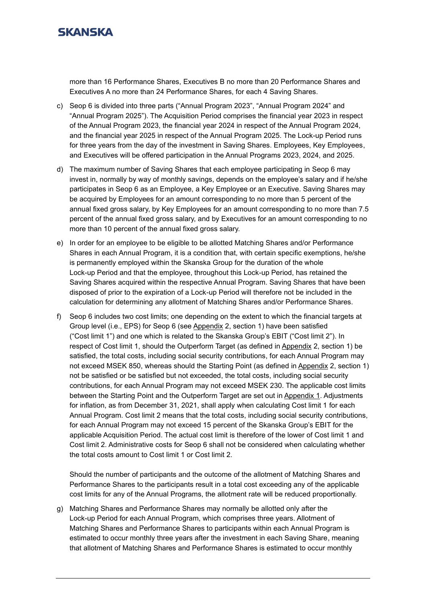

more than 16 Performance Shares, Executives B no more than 20 Performance Shares and Executives A no more than 24 Performance Shares, for each 4 Saving Shares.

- c) Seop 6 is divided into three parts ("Annual Program 2023", "Annual Program 2024" and "Annual Program 2025"). The Acquisition Period comprises the financial year 2023 in respect of the Annual Program 2023, the financial year 2024 in respect of the Annual Program 2024, and the financial year 2025 in respect of the Annual Program 2025. The Lock-up Period runs for three years from the day of the investment in Saving Shares. Employees, Key Employees, and Executives will be offered participation in the Annual Programs 2023, 2024, and 2025.
- d) The maximum number of Saving Shares that each employee participating in Seop 6 may invest in, normally by way of monthly savings, depends on the employee's salary and if he/she participates in Seop 6 as an Employee, a Key Employee or an Executive. Saving Shares may be acquired by Employees for an amount corresponding to no more than 5 percent of the annual fixed gross salary, by Key Employees for an amount corresponding to no more than 7.5 percent of the annual fixed gross salary, and by Executives for an amount corresponding to no more than 10 percent of the annual fixed gross salary.
- e) In order for an employee to be eligible to be allotted Matching Shares and/or Performance Shares in each Annual Program, it is a condition that, with certain specific exemptions, he/she is permanently employed within the Skanska Group for the duration of the whole Lock-up Period and that the employee, throughout this Lock-up Period, has retained the Saving Shares acquired within the respective Annual Program. Saving Shares that have been disposed of prior to the expiration of a Lock-up Period will therefore not be included in the calculation for determining any allotment of Matching Shares and/or Performance Shares.
- f) Seop 6 includes two cost limits; one depending on the extent to which the financial targets at Group level (i.e., EPS) for Seop 6 (see Appendix 2, section 1) have been satisfied ("Cost limit 1") and one which is related to the Skanska Group's EBIT ("Cost limit 2"). In respect of Cost limit 1, should the Outperform Target (as defined in Appendix 2, section 1) be satisfied, the total costs, including social security contributions, for each Annual Program may not exceed MSEK 850, whereas should the Starting Point (as defined in Appendix 2, section 1) not be satisfied or be satisfied but not exceeded, the total costs, including social security contributions, for each Annual Program may not exceed MSEK 230. The applicable cost limits between the Starting Point and the Outperform Target are set out in Appendix 1. Adjustments for inflation, as from December 31, 2021, shall apply when calculating Cost limit 1 for each Annual Program. Cost limit 2 means that the total costs, including social security contributions, for each Annual Program may not exceed 15 percent of the Skanska Group's EBIT for the applicable Acquisition Period. The actual cost limit is therefore of the lower of Cost limit 1 and Cost limit 2. Administrative costs for Seop 6 shall not be considered when calculating whether the total costs amount to Cost limit 1 or Cost limit 2.

Should the number of participants and the outcome of the allotment of Matching Shares and Performance Shares to the participants result in a total cost exceeding any of the applicable cost limits for any of the Annual Programs, the allotment rate will be reduced proportionally.

g) Matching Shares and Performance Shares may normally be allotted only after the Lock-up Period for each Annual Program, which comprises three years. Allotment of Matching Shares and Performance Shares to participants within each Annual Program is estimated to occur monthly three years after the investment in each Saving Share, meaning that allotment of Matching Shares and Performance Shares is estimated to occur monthly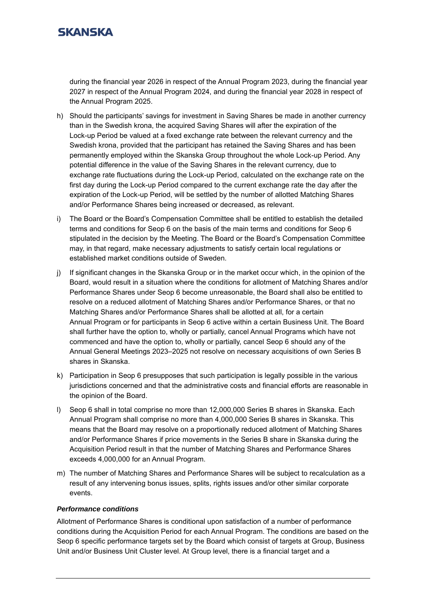during the financial year 2026 in respect of the Annual Program 2023, during the financial year 2027 in respect of the Annual Program 2024, and during the financial year 2028 in respect of the Annual Program 2025.

- h) Should the participants' savings for investment in Saving Shares be made in another currency than in the Swedish krona, the acquired Saving Shares will after the expiration of the Lock-up Period be valued at a fixed exchange rate between the relevant currency and the Swedish krona, provided that the participant has retained the Saving Shares and has been permanently employed within the Skanska Group throughout the whole Lock-up Period. Any potential difference in the value of the Saving Shares in the relevant currency, due to exchange rate fluctuations during the Lock-up Period, calculated on the exchange rate on the first day during the Lock-up Period compared to the current exchange rate the day after the expiration of the Lock-up Period, will be settled by the number of allotted Matching Shares and/or Performance Shares being increased or decreased, as relevant.
- i) The Board or the Board's Compensation Committee shall be entitled to establish the detailed terms and conditions for Seop 6 on the basis of the main terms and conditions for Seop 6 stipulated in the decision by the Meeting. The Board or the Board's Compensation Committee may, in that regard, make necessary adjustments to satisfy certain local regulations or established market conditions outside of Sweden.
- j) If significant changes in the Skanska Group or in the market occur which, in the opinion of the Board, would result in a situation where the conditions for allotment of Matching Shares and/or Performance Shares under Seop 6 become unreasonable, the Board shall also be entitled to resolve on a reduced allotment of Matching Shares and/or Performance Shares, or that no Matching Shares and/or Performance Shares shall be allotted at all, for a certain Annual Program or for participants in Seop 6 active within a certain Business Unit. The Board shall further have the option to, wholly or partially, cancel Annual Programs which have not commenced and have the option to, wholly or partially, cancel Seop 6 should any of the Annual General Meetings 2023–2025 not resolve on necessary acquisitions of own Series B shares in Skanska.
- k) Participation in Seop 6 presupposes that such participation is legally possible in the various jurisdictions concerned and that the administrative costs and financial efforts are reasonable in the opinion of the Board.
- l) Seop 6 shall in total comprise no more than 12,000,000 Series B shares in Skanska. Each Annual Program shall comprise no more than 4,000,000 Series B shares in Skanska. This means that the Board may resolve on a proportionally reduced allotment of Matching Shares and/or Performance Shares if price movements in the Series B share in Skanska during the Acquisition Period result in that the number of Matching Shares and Performance Shares exceeds 4,000,000 for an Annual Program.
- m) The number of Matching Shares and Performance Shares will be subject to recalculation as a result of any intervening bonus issues, splits, rights issues and/or other similar corporate events.

#### *Performance conditions*

Allotment of Performance Shares is conditional upon satisfaction of a number of performance conditions during the Acquisition Period for each Annual Program. The conditions are based on the Seop 6 specific performance targets set by the Board which consist of targets at Group, Business Unit and/or Business Unit Cluster level. At Group level, there is a financial target and a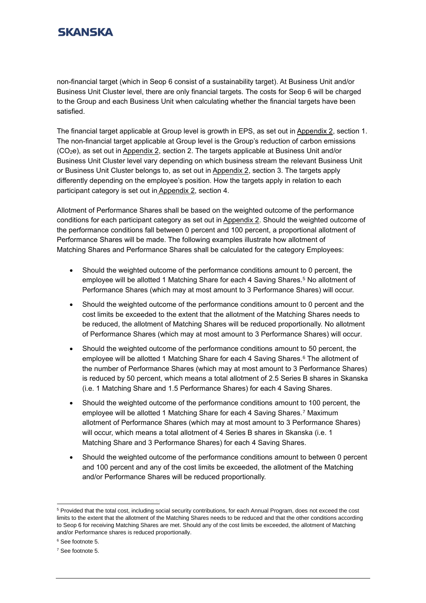non-financial target (which in Seop 6 consist of a sustainability target). At Business Unit and/or Business Unit Cluster level, there are only financial targets. The costs for Seop 6 will be charged to the Group and each Business Unit when calculating whether the financial targets have been satisfied.

The financial target applicable at Group level is growth in EPS, as set out in Appendix 2, section 1. The non-financial target applicable at Group level is the Group's reduction of carbon emissions (CO2e), as set out in Appendix 2, section 2. The targets applicable at Business Unit and/or Business Unit Cluster level vary depending on which business stream the relevant Business Unit or Business Unit Cluster belongs to, as set out in Appendix 2, section 3. The targets apply differently depending on the employee's position. How the targets apply in relation to each participant category is set out in Appendix 2, section 4.

Allotment of Performance Shares shall be based on the weighted outcome of the performance conditions for each participant category as set out in Appendix 2. Should the weighted outcome of the performance conditions fall between 0 percent and 100 percent, a proportional allotment of Performance Shares will be made. The following examples illustrate how allotment of Matching Shares and Performance Shares shall be calculated for the category Employees:

- Should the weighted outcome of the performance conditions amount to 0 percent, the employee will be allotted 1 Matching Share for each 4 Saving Shares.<sup>5</sup> No allotment of Performance Shares (which may at most amount to 3 Performance Shares) will occur.
- Should the weighted outcome of the performance conditions amount to 0 percent and the cost limits be exceeded to the extent that the allotment of the Matching Shares needs to be reduced, the allotment of Matching Shares will be reduced proportionally. No allotment of Performance Shares (which may at most amount to 3 Performance Shares) will occur.
- Should the weighted outcome of the performance conditions amount to 50 percent, the employee will be allotted 1 Matching Share for each 4 Saving Shares.<sup>6</sup> The allotment of the number of Performance Shares (which may at most amount to 3 Performance Shares) is reduced by 50 percent, which means a total allotment of 2.5 Series B shares in Skanska (i.e. 1 Matching Share and 1.5 Performance Shares) for each 4 Saving Shares.
- Should the weighted outcome of the performance conditions amount to 100 percent, the employee will be allotted 1 Matching Share for each 4 Saving Shares.<sup>7</sup> Maximum allotment of Performance Shares (which may at most amount to 3 Performance Shares) will occur, which means a total allotment of 4 Series B shares in Skanska (i.e. 1 Matching Share and 3 Performance Shares) for each 4 Saving Shares.
- Should the weighted outcome of the performance conditions amount to between 0 percent and 100 percent and any of the cost limits be exceeded, the allotment of the Matching and/or Performance Shares will be reduced proportionally.

<sup>5</sup> Provided that the total cost, including social security contributions, for each Annual Program, does not exceed the cost limits to the extent that the allotment of the Matching Shares needs to be reduced and that the other conditions according to Seop 6 for receiving Matching Shares are met. Should any of the cost limits be exceeded, the allotment of Matching and/or Performance shares is reduced proportionally.

<sup>6</sup> See footnote 5.

<sup>7</sup> See footnote 5.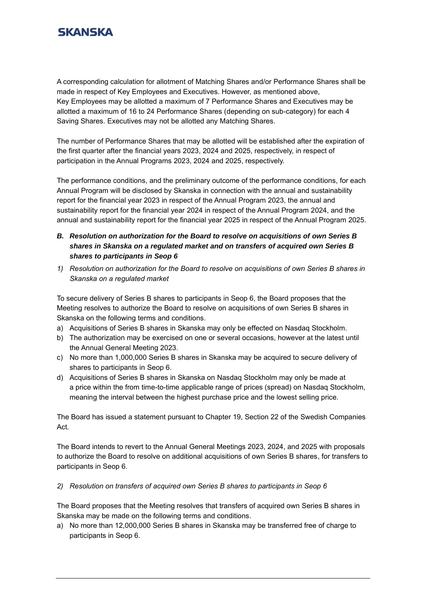A corresponding calculation for allotment of Matching Shares and/or Performance Shares shall be made in respect of Key Employees and Executives. However, as mentioned above, Key Employees may be allotted a maximum of 7 Performance Shares and Executives may be allotted a maximum of 16 to 24 Performance Shares (depending on sub-category) for each 4 Saving Shares. Executives may not be allotted any Matching Shares.

The number of Performance Shares that may be allotted will be established after the expiration of the first quarter after the financial years 2023, 2024 and 2025, respectively, in respect of participation in the Annual Programs 2023, 2024 and 2025, respectively.

The performance conditions, and the preliminary outcome of the performance conditions, for each Annual Program will be disclosed by Skanska in connection with the annual and sustainability report for the financial year 2023 in respect of the Annual Program 2023, the annual and sustainability report for the financial year 2024 in respect of the Annual Program 2024, and the annual and sustainability report for the financial year 2025 in respect of the Annual Program 2025.

- *B. Resolution on authorization for the Board to resolve on acquisitions of own Series B shares in Skanska on a regulated market and on transfers of acquired own Series B shares to participants in Seop 6*
- *1) Resolution on authorization for the Board to resolve on acquisitions of own Series B shares in Skanska on a regulated market*

To secure delivery of Series B shares to participants in Seop 6, the Board proposes that the Meeting resolves to authorize the Board to resolve on acquisitions of own Series B shares in Skanska on the following terms and conditions.

- a) Acquisitions of Series B shares in Skanska may only be effected on Nasdaq Stockholm.
- b) The authorization may be exercised on one or several occasions, however at the latest until the Annual General Meeting 2023.
- c) No more than 1,000,000 Series B shares in Skanska may be acquired to secure delivery of shares to participants in Seop 6.
- d) Acquisitions of Series B shares in Skanska on Nasdaq Stockholm may only be made at a price within the from time-to-time applicable range of prices (spread) on Nasdaq Stockholm, meaning the interval between the highest purchase price and the lowest selling price.

The Board has issued a statement pursuant to Chapter 19, Section 22 of the Swedish Companies Act.

The Board intends to revert to the Annual General Meetings 2023, 2024, and 2025 with proposals to authorize the Board to resolve on additional acquisitions of own Series B shares, for transfers to participants in Seop 6.

*2) Resolution on transfers of acquired own Series B shares to participants in Seop 6*

The Board proposes that the Meeting resolves that transfers of acquired own Series B shares in Skanska may be made on the following terms and conditions.

a) No more than 12,000,000 Series B shares in Skanska may be transferred free of charge to participants in Seop 6.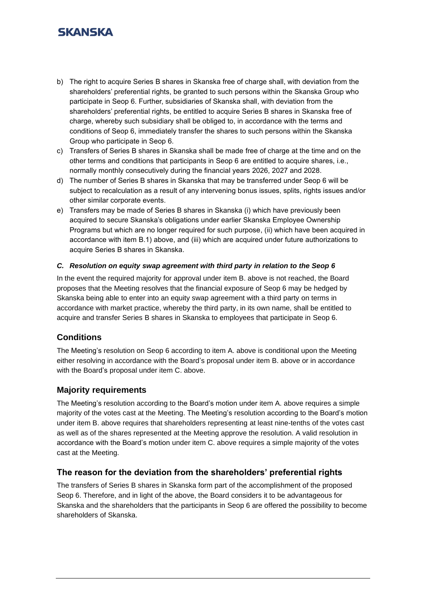- b) The right to acquire Series B shares in Skanska free of charge shall, with deviation from the shareholders' preferential rights, be granted to such persons within the Skanska Group who participate in Seop 6. Further, subsidiaries of Skanska shall, with deviation from the shareholders' preferential rights, be entitled to acquire Series B shares in Skanska free of charge, whereby such subsidiary shall be obliged to, in accordance with the terms and conditions of Seop 6, immediately transfer the shares to such persons within the Skanska Group who participate in Seop 6.
- c) Transfers of Series B shares in Skanska shall be made free of charge at the time and on the other terms and conditions that participants in Seop 6 are entitled to acquire shares, i.e., normally monthly consecutively during the financial years 2026, 2027 and 2028.
- d) The number of Series B shares in Skanska that may be transferred under Seop 6 will be subject to recalculation as a result of any intervening bonus issues, splits, rights issues and/or other similar corporate events.
- e) Transfers may be made of Series B shares in Skanska (i) which have previously been acquired to secure Skanska's obligations under earlier Skanska Employee Ownership Programs but which are no longer required for such purpose, (ii) which have been acquired in accordance with item B.1) above, and (iii) which are acquired under future authorizations to acquire Series B shares in Skanska.

#### *C. Resolution on equity swap agreement with third party in relation to the Seop 6*

In the event the required majority for approval under item B. above is not reached, the Board proposes that the Meeting resolves that the financial exposure of Seop 6 may be hedged by Skanska being able to enter into an equity swap agreement with a third party on terms in accordance with market practice, whereby the third party, in its own name, shall be entitled to acquire and transfer Series B shares in Skanska to employees that participate in Seop 6.

### **Conditions**

The Meeting's resolution on Seop 6 according to item A. above is conditional upon the Meeting either resolving in accordance with the Board's proposal under item B. above or in accordance with the Board's proposal under item C. above.

#### **Majority requirements**

The Meeting's resolution according to the Board's motion under item A. above requires a simple majority of the votes cast at the Meeting. The Meeting's resolution according to the Board's motion under item B. above requires that shareholders representing at least nine-tenths of the votes cast as well as of the shares represented at the Meeting approve the resolution. A valid resolution in accordance with the Board's motion under item C. above requires a simple majority of the votes cast at the Meeting.

### **The reason for the deviation from the shareholders' preferential rights**

The transfers of Series B shares in Skanska form part of the accomplishment of the proposed Seop 6. Therefore, and in light of the above, the Board considers it to be advantageous for Skanska and the shareholders that the participants in Seop 6 are offered the possibility to become shareholders of Skanska.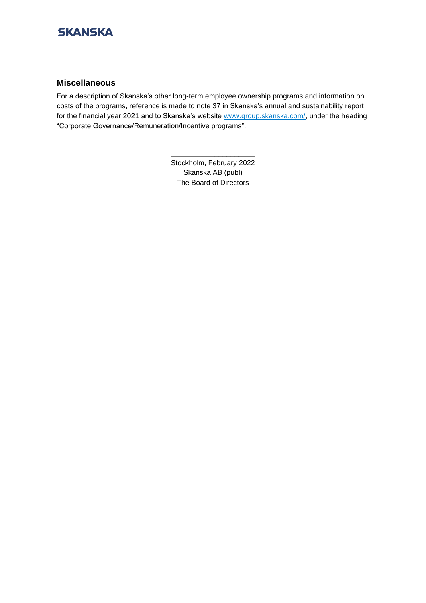

#### **Miscellaneous**

For a description of Skanska's other long-term employee ownership programs and information on costs of the programs, reference is made to note 37 in Skanska's annual and sustainability report for the financial year 2021 and to Skanska's website [www.group.skanska.com/,](http://www.group.skanska.com/) under the heading "Corporate Governance/Remuneration/Incentive programs".

> Stockholm, February 2022 Skanska AB (publ) The Board of Directors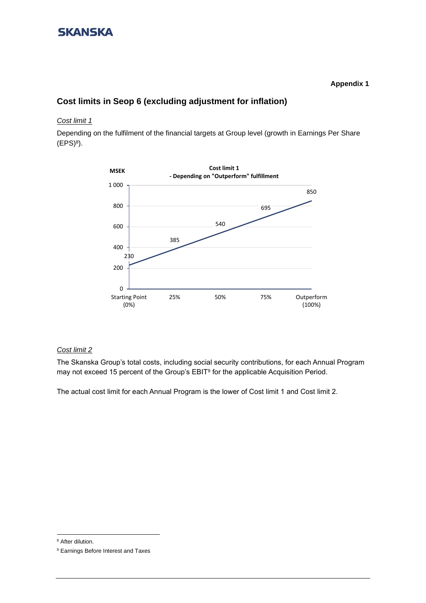#### **Appendix 1**

### **Cost limits in Seop 6 (excluding adjustment for inflation)**

#### *Cost limit 1*

Depending on the fulfilment of the financial targets at Group level (growth in Earnings Per Share  $(EPS)^8$ ).



#### *Cost limit 2*

The Skanska Group's total costs, including social security contributions, for each Annual Program may not exceed 15 percent of the Group's EBIT<sup>9</sup> for the applicable Acquisition Period.

The actual cost limit for each Annual Program is the lower of Cost limit 1 and Cost limit 2.

<sup>&</sup>lt;sup>8</sup> After dilution.

<sup>9</sup> Earnings Before Interest and Taxes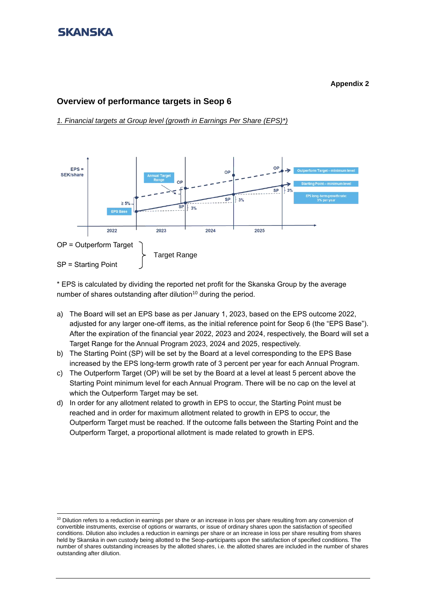#### **Appendix 2**

### **Overview of performance targets in Seop 6**

*1. Financial targets at Group level (growth in Earnings Per Share (EPS)\*)*



\* EPS is calculated by dividing the reported net profit for the Skanska Group by the average number of shares outstanding after dilution<sup>10</sup> during the period.

- a) The Board will set an EPS base as per January 1, 2023, based on the EPS outcome 2022, adjusted for any larger one-off items, as the initial reference point for Seop 6 (the "EPS Base"). After the expiration of the financial year 2022, 2023 and 2024, respectively, the Board will set a Target Range for the Annual Program 2023, 2024 and 2025, respectively.
- b) The Starting Point (SP) will be set by the Board at a level corresponding to the EPS Base increased by the EPS long-term growth rate of 3 percent per year for each Annual Program.
- c) The Outperform Target (OP) will be set by the Board at a level at least 5 percent above the Starting Point minimum level for each Annual Program. There will be no cap on the level at which the Outperform Target may be set.
- d) In order for any allotment related to growth in EPS to occur, the Starting Point must be reached and in order for maximum allotment related to growth in EPS to occur, the Outperform Target must be reached. If the outcome falls between the Starting Point and the Outperform Target, a proportional allotment is made related to growth in EPS.

 $10$  Dilution refers to a reduction in earnings per share or an increase in loss per share resulting from any conversion of convertible instruments, exercise of options or warrants, or issue of ordinary shares upon the satisfaction of specified conditions. Dilution also includes a reduction in earnings per share or an increase in loss per share resulting from shares held by Skanska in own custody being allotted to the Seop-participants upon the satisfaction of specified conditions. The number of shares outstanding increases by the allotted shares, i.e. the allotted shares are included in the number of shares outstanding after dilution.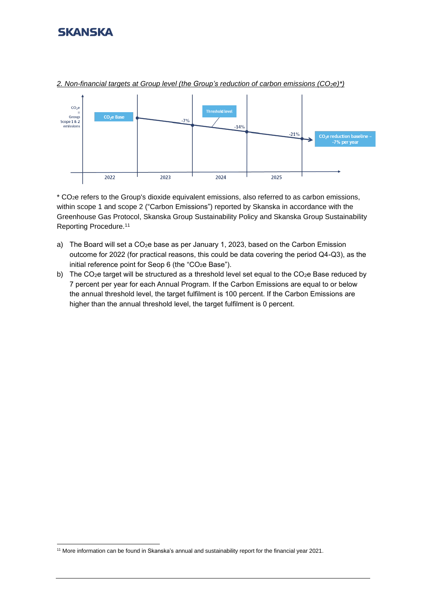

*2. Non-financial targets at Group level (the Group's reduction of carbon emissions (CO2e)\*)*

\* CO2e refers to the Group's dioxide equivalent emissions, also referred to as carbon emissions, within scope 1 and scope 2 ("Carbon Emissions") reported by Skanska in accordance with the Greenhouse Gas Protocol, Skanska Group Sustainability Policy and Skanska Group Sustainability Reporting Procedure.<sup>11</sup>

- a) The Board will set a  $CO<sub>2</sub>e$  base as per January 1, 2023, based on the Carbon Emission outcome for 2022 (for practical reasons, this could be data covering the period Q4-Q3), as the initial reference point for Seop 6 (the "CO<sub>2</sub>e Base").
- b) The CO<sub>2</sub>e target will be structured as a threshold level set equal to the CO<sub>2</sub>e Base reduced by 7 percent per year for each Annual Program. If the Carbon Emissions are equal to or below the annual threshold level, the target fulfilment is 100 percent. If the Carbon Emissions are higher than the annual threshold level, the target fulfilment is 0 percent.

<sup>11</sup> More information can be found in Skanska's annual and sustainability report for the financial year 2021.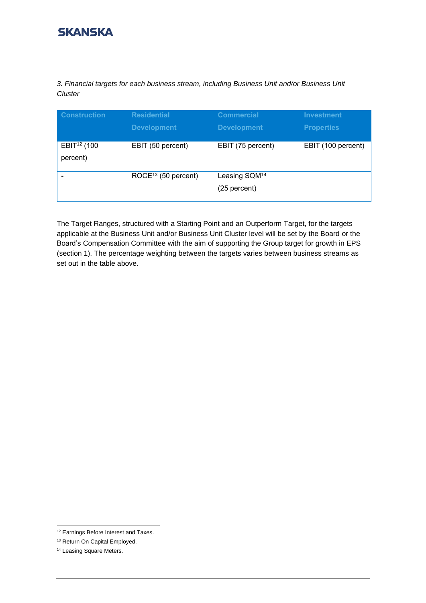*3. Financial targets for each business stream, including Business Unit and/or Business Unit Cluster*

| <b>Construction</b>     | <b>Residential</b>              | <b>Commercial</b>         | <b>Investment</b>  |
|-------------------------|---------------------------------|---------------------------|--------------------|
|                         | <b>Development</b>              | <b>Development</b>        | <b>Properties</b>  |
| EBIT <sup>12</sup> (100 | EBIT (50 percent)               | EBIT (75 percent)         | EBIT (100 percent) |
| percent)                |                                 |                           |                    |
|                         | ROCE <sup>13</sup> (50 percent) | Leasing SQM <sup>14</sup> |                    |
|                         |                                 | (25 percent)              |                    |

The Target Ranges, structured with a Starting Point and an Outperform Target, for the targets applicable at the Business Unit and/or Business Unit Cluster level will be set by the Board or the Board's Compensation Committee with the aim of supporting the Group target for growth in EPS (section 1). The percentage weighting between the targets varies between business streams as set out in the table above.

<sup>&</sup>lt;sup>12</sup> Earnings Before Interest and Taxes.

<sup>13</sup> Return On Capital Employed.

<sup>&</sup>lt;sup>14</sup> Leasing Square Meters.